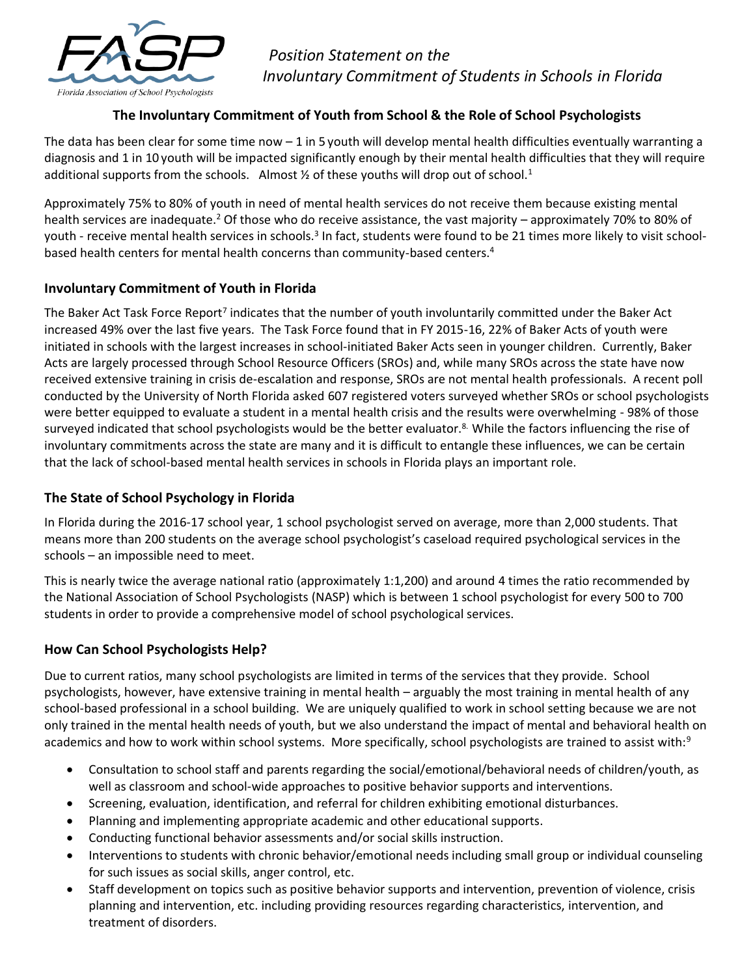

 *Position Statement on the Involuntary Commitment of Students in Schools in Florida*

# **The Involuntary Commitment of Youth from School & the Role of School Psychologists**

The data has been clear for some time now  $-1$  in 5 youth will develop mental health difficulties eventually warranting a diagnosis and 1 in 10 youth will be impacted significantly enough by their mental health difficulties that they will require additional supports from the schools. Almost  $\frac{1}{2}$  of these youths will drop out of school.<sup>1</sup>

Approximately 75% to 80% of youth in need of mental health services do not receive them because existing mental health services are inadequate.<sup>2</sup> Of those who do receive assistance, the vast majority – approximately 70% to 80% of youth - receive mental health services in schools.<sup>3</sup> In fact, students were found to be 21 times more likely to visit schoolbased health centers for mental health concerns than community-based centers.<sup>4</sup>

#### **Involuntary Commitment of Youth in Florida**

The Baker Act Task Force Report<sup>7</sup> indicates that the number of youth involuntarily committed under the Baker Act increased 49% over the last five years. The Task Force found that in FY 2015-16, 22% of Baker Acts of youth were initiated in schools with the largest increases in school-initiated Baker Acts seen in younger children. Currently, Baker Acts are largely processed through School Resource Officers (SROs) and, while many SROs across the state have now received extensive training in crisis de-escalation and response, SROs are not mental health professionals. A recent poll conducted by the University of North Florida asked 607 registered voters surveyed whether SROs or school psychologists were better equipped to evaluate a student in a mental health crisis and the results were overwhelming - 98% of those surveyed indicated that school psychologists would be the better evaluator.<sup>8</sup> While the factors influencing the rise of involuntary commitments across the state are many and it is difficult to entangle these influences, we can be certain that the lack of school-based mental health services in schools in Florida plays an important role.

## **The State of School Psychology in Florida**

In Florida during the 2016-17 school year, 1 school psychologist served on average, more than 2,000 students. That means more than 200 students on the average school psychologist's caseload required psychological services in the schools – an impossible need to meet.

This is nearly twice the average national ratio (approximately 1:1,200) and around 4 times the ratio recommended by the National Association of School Psychologists (NASP) which is between 1 school psychologist for every 500 to 700 students in order to provide a comprehensive model of school psychological services.

## **How Can School Psychologists Help?**

Due to current ratios, many school psychologists are limited in terms of the services that they provide. School psychologists, however, have extensive training in mental health – arguably the most training in mental health of any school-based professional in a school building. We are uniquely qualified to work in school setting because we are not only trained in the mental health needs of youth, but we also understand the impact of mental and behavioral health on academics and how to work within school systems. More specifically, school psychologists are trained to assist with:<sup>9</sup>

- Consultation to school staff and parents regarding the social/emotional/behavioral needs of children/youth, as well as classroom and school-wide approaches to positive behavior supports and interventions.
- Screening, evaluation, identification, and referral for children exhibiting emotional disturbances.
- Planning and implementing appropriate academic and other educational supports.
- Conducting functional behavior assessments and/or social skills instruction.
- Interventions to students with chronic behavior/emotional needs including small group or individual counseling for such issues as social skills, anger control, etc.
- Staff development on topics such as positive behavior supports and intervention, prevention of violence, crisis planning and intervention, etc. including providing resources regarding characteristics, intervention, and treatment of disorders.